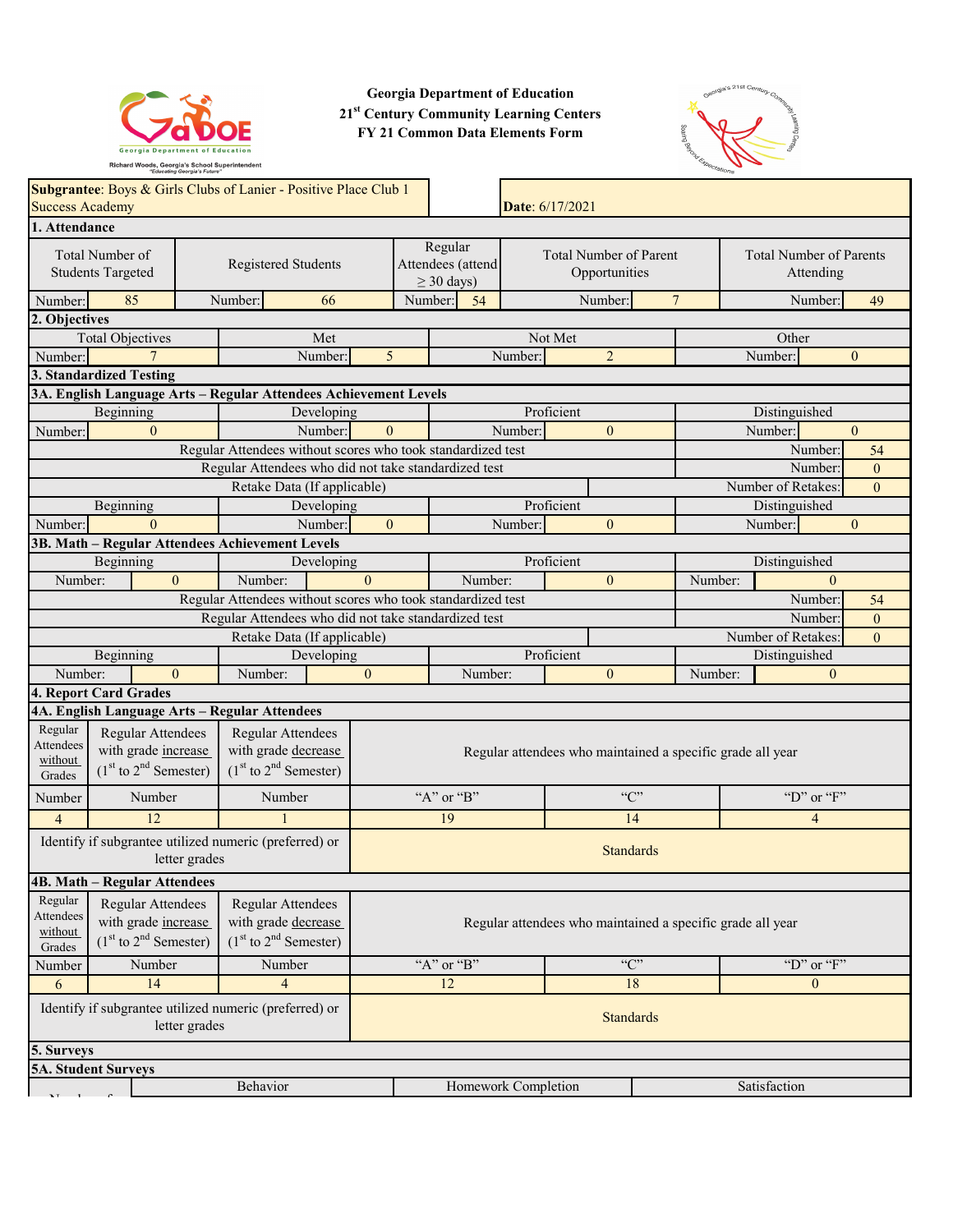

**Georgia Department of Education 21st Century Community Learning Centers FY 21 Common Data Elements Form**



|                                                                                                                                                                                             |                                                                                             |                                                                              |            |                                                            |            |                                                |         |                           |                                             | $\sim$         |                    |                  |
|---------------------------------------------------------------------------------------------------------------------------------------------------------------------------------------------|---------------------------------------------------------------------------------------------|------------------------------------------------------------------------------|------------|------------------------------------------------------------|------------|------------------------------------------------|---------|---------------------------|---------------------------------------------|----------------|--------------------|------------------|
| Subgrantee: Boys & Girls Clubs of Lanier - Positive Place Club 1<br>Date: 6/17/2021<br><b>Success Academy</b>                                                                               |                                                                                             |                                                                              |            |                                                            |            |                                                |         |                           |                                             |                |                    |                  |
| 1. Attendance                                                                                                                                                                               |                                                                                             |                                                                              |            |                                                            |            |                                                |         |                           |                                             |                |                    |                  |
| Total Number of<br><b>Registered Students</b><br><b>Students Targeted</b>                                                                                                                   |                                                                                             |                                                                              |            | Regular<br>Attendees (attend<br>$\geq$ 30 days)            |            | <b>Total Number of Parent</b><br>Opportunities |         |                           | <b>Total Number of Parents</b><br>Attending |                |                    |                  |
| Number:                                                                                                                                                                                     | 85                                                                                          | Number:                                                                      | 66         |                                                            | Number:    | 54                                             |         | Number:                   | $7\phantom{.0}$                             |                | Number:            | 49               |
| 2. Objectives                                                                                                                                                                               |                                                                                             |                                                                              |            |                                                            |            |                                                |         |                           |                                             |                |                    |                  |
|                                                                                                                                                                                             | <b>Total Objectives</b>                                                                     |                                                                              | Met        |                                                            |            |                                                |         | Not Met                   |                                             |                | Other              |                  |
| Number:                                                                                                                                                                                     |                                                                                             |                                                                              | Number:    | 5                                                          |            |                                                | Number: | $\overline{2}$            |                                             |                | Number:            | $\mathbf{0}$     |
|                                                                                                                                                                                             | 3. Standardized Testing                                                                     |                                                                              |            |                                                            |            |                                                |         |                           |                                             |                |                    |                  |
|                                                                                                                                                                                             | 3A. English Language Arts - Regular Attendees Achievement Levels                            |                                                                              |            |                                                            |            |                                                |         |                           |                                             |                |                    |                  |
|                                                                                                                                                                                             | Beginning                                                                                   |                                                                              | Developing |                                                            |            |                                                |         | Proficient                |                                             |                | Distinguished      |                  |
| Number:                                                                                                                                                                                     | $\mathbf{0}$                                                                                |                                                                              | Number:    | $\mathbf{0}$                                               |            |                                                | Number: | $\overline{0}$            |                                             |                | Number:            | $\boldsymbol{0}$ |
|                                                                                                                                                                                             |                                                                                             | Regular Attendees without scores who took standardized test                  |            |                                                            |            |                                                |         |                           |                                             |                | Number:            | 54               |
|                                                                                                                                                                                             |                                                                                             | Regular Attendees who did not take standardized test                         |            |                                                            |            |                                                |         |                           |                                             |                | Number:            | $\overline{0}$   |
|                                                                                                                                                                                             |                                                                                             | Retake Data (If applicable)                                                  |            |                                                            |            |                                                |         |                           |                                             |                | Number of Retakes: | $\overline{0}$   |
|                                                                                                                                                                                             | Beginning                                                                                   |                                                                              | Developing |                                                            |            |                                                |         | Proficient                |                                             |                | Distinguished      |                  |
| Number:                                                                                                                                                                                     | $\theta$                                                                                    |                                                                              | Number:    | $\mathbf{0}$                                               |            |                                                | Number: | $\overline{0}$            |                                             |                | Number:            | $\boldsymbol{0}$ |
|                                                                                                                                                                                             | 3B. Math - Regular Attendees Achievement Levels                                             |                                                                              |            |                                                            |            |                                                |         |                           |                                             |                |                    |                  |
|                                                                                                                                                                                             | Beginning                                                                                   |                                                                              | Developing |                                                            |            |                                                |         | Proficient                |                                             |                | Distinguished      |                  |
| Number:                                                                                                                                                                                     | $\theta$                                                                                    | Number:                                                                      |            | $\theta$                                                   |            | Number:                                        |         | $\overline{0}$            |                                             | Number:        | $\mathbf{0}$       |                  |
|                                                                                                                                                                                             |                                                                                             | Regular Attendees without scores who took standardized test                  |            |                                                            |            |                                                |         |                           |                                             |                | Number:            | 54               |
|                                                                                                                                                                                             |                                                                                             |                                                                              |            | Regular Attendees who did not take standardized test       |            |                                                |         | Number:<br>$\overline{0}$ |                                             |                |                    |                  |
| Retake Data (If applicable)                                                                                                                                                                 |                                                                                             |                                                                              |            |                                                            |            |                                                |         |                           | Number of Retakes:                          | $\overline{0}$ |                    |                  |
|                                                                                                                                                                                             | Beginning                                                                                   |                                                                              | Developing |                                                            |            |                                                |         | Proficient                |                                             |                | Distinguished      |                  |
| Number:                                                                                                                                                                                     | $\mathbf{0}$                                                                                | Number:                                                                      |            | $\mathbf{0}$                                               |            | Number:                                        |         | $\overline{0}$            |                                             | Number:        | $\mathbf{0}$       |                  |
|                                                                                                                                                                                             | <b>4. Report Card Grades</b>                                                                |                                                                              |            |                                                            |            |                                                |         |                           |                                             |                |                    |                  |
|                                                                                                                                                                                             | 4A. English Language Arts - Regular Attendees                                               |                                                                              |            |                                                            |            |                                                |         |                           |                                             |                |                    |                  |
| Regular<br>Attendees<br>without<br>Grades                                                                                                                                                   | Regular Attendees<br>with grade increase<br>$(1st$ to $2nd$ Semester)                       | <b>Regular Attendees</b><br>with grade decrease<br>$(1st$ to $2nd$ Semester) |            | Regular attendees who maintained a specific grade all year |            |                                                |         |                           |                                             |                |                    |                  |
| Number                                                                                                                                                                                      | Number                                                                                      | Number                                                                       |            |                                                            | "A" or "B" |                                                |         | C                         |                                             |                | "D" or "F"         |                  |
| $\overline{4}$                                                                                                                                                                              | 12                                                                                          |                                                                              |            |                                                            | 19         |                                                |         | 14                        |                                             |                | $\overline{4}$     |                  |
|                                                                                                                                                                                             | Identify if subgrantee utilized numeric (preferred) or<br>letter grades                     |                                                                              |            | <b>Standards</b>                                           |            |                                                |         |                           |                                             |                |                    |                  |
|                                                                                                                                                                                             | 4B. Math - Regular Attendees                                                                |                                                                              |            |                                                            |            |                                                |         |                           |                                             |                |                    |                  |
| Regular<br>Regular Attendees<br>Regular Attendees<br>Attendees<br>with grade increase<br>with grade decrease<br>without<br>$(1st$ to $2nd$ Semester)<br>$(1st$ to $2nd$ Semester)<br>Grades |                                                                                             |                                                                              |            | Regular attendees who maintained a specific grade all year |            |                                                |         |                           |                                             |                |                    |                  |
| Number                                                                                                                                                                                      | Number                                                                                      | Number                                                                       |            |                                                            | "A" or "B" |                                                |         | C                         |                                             |                | "D" or " $F$ "     |                  |
| 6                                                                                                                                                                                           | 14                                                                                          | $\overline{4}$                                                               |            |                                                            | 12         |                                                |         | 18                        |                                             |                | $\mathbf{0}$       |                  |
|                                                                                                                                                                                             | Identify if subgrantee utilized numeric (preferred) or<br><b>Standards</b><br>letter grades |                                                                              |            |                                                            |            |                                                |         |                           |                                             |                |                    |                  |
| 5. Surveys                                                                                                                                                                                  |                                                                                             |                                                                              |            |                                                            |            |                                                |         |                           |                                             |                |                    |                  |
|                                                                                                                                                                                             | <b>5A. Student Surveys</b>                                                                  |                                                                              |            |                                                            |            |                                                |         |                           |                                             |                |                    |                  |
|                                                                                                                                                                                             |                                                                                             | Behavior                                                                     |            |                                                            |            | Homework Completion                            |         |                           |                                             |                | Satisfaction       |                  |
|                                                                                                                                                                                             |                                                                                             |                                                                              |            |                                                            |            |                                                |         |                           |                                             |                |                    |                  |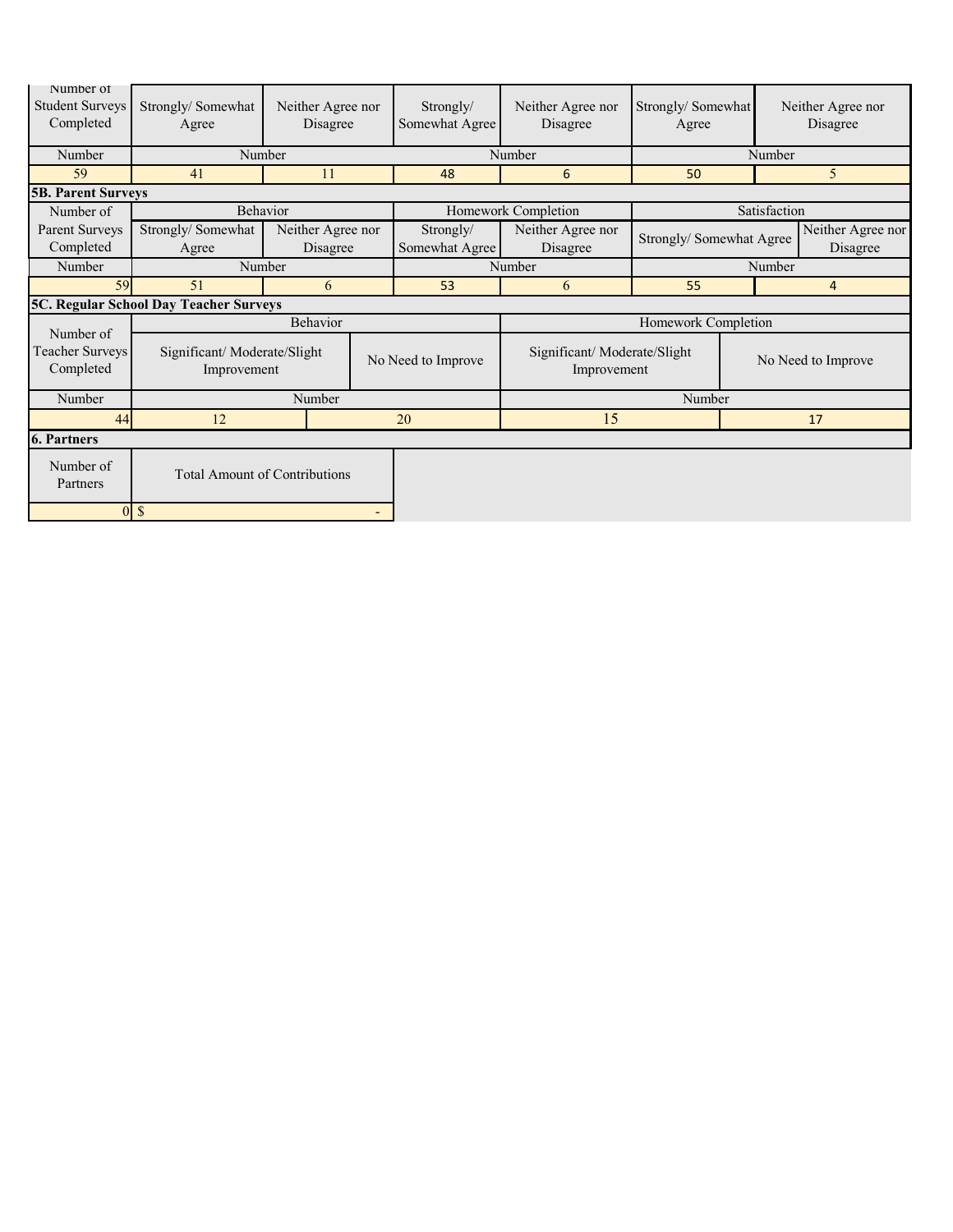| Number of<br><b>Student Surveys</b><br>Completed | Strongly/Somewhat<br>Agree                 | Neither Agree nor<br>Disagree |  | Strongly/<br>Somewhat Agree | Neither Agree nor<br>Disagree              | Strongly/Somewhat<br>Agree |              | Neither Agree nor<br>Disagree |
|--------------------------------------------------|--------------------------------------------|-------------------------------|--|-----------------------------|--------------------------------------------|----------------------------|--------------|-------------------------------|
| Number                                           |                                            | Number                        |  |                             | Number                                     |                            | Number       |                               |
| 59                                               | 41                                         | 11                            |  | 48                          | 6                                          | 50                         |              | 5                             |
| <b>5B. Parent Surveys</b>                        |                                            |                               |  |                             |                                            |                            |              |                               |
| Number of                                        |                                            | Behavior                      |  |                             | Homework Completion                        |                            | Satisfaction |                               |
| Parent Surveys<br>Completed                      | Strongly/Somewhat<br>Agree                 | Neither Agree nor<br>Disagree |  | Strongly/<br>Somewhat Agree | Neither Agree nor<br>Disagree              | Strongly/ Somewhat Agree   |              | Neither Agree nor<br>Disagree |
| Number                                           | Number                                     |                               |  |                             | Number                                     | Number                     |              |                               |
| 59                                               | 51                                         | 6                             |  | 53                          | 6                                          | 55                         |              | $\overline{4}$                |
|                                                  | 5C. Regular School Day Teacher Surveys     |                               |  |                             |                                            |                            |              |                               |
| Number of                                        |                                            | Behavior                      |  |                             |                                            | Homework Completion        |              |                               |
| Teacher Surveys<br>Completed                     | Significant/Moderate/Slight<br>Improvement |                               |  | No Need to Improve          | Significant/Moderate/Slight<br>Improvement |                            |              | No Need to Improve            |
| Number                                           |                                            | Number                        |  |                             |                                            | Number                     |              |                               |
| 44                                               | 12                                         |                               |  | 20                          | 15                                         |                            | 17           |                               |
| <b>6. Partners</b>                               |                                            |                               |  |                             |                                            |                            |              |                               |
| Number of<br>Partners                            | <b>Total Amount of Contributions</b>       |                               |  |                             |                                            |                            |              |                               |
| <sup>\$</sup><br>ΩI                              |                                            |                               |  |                             |                                            |                            |              |                               |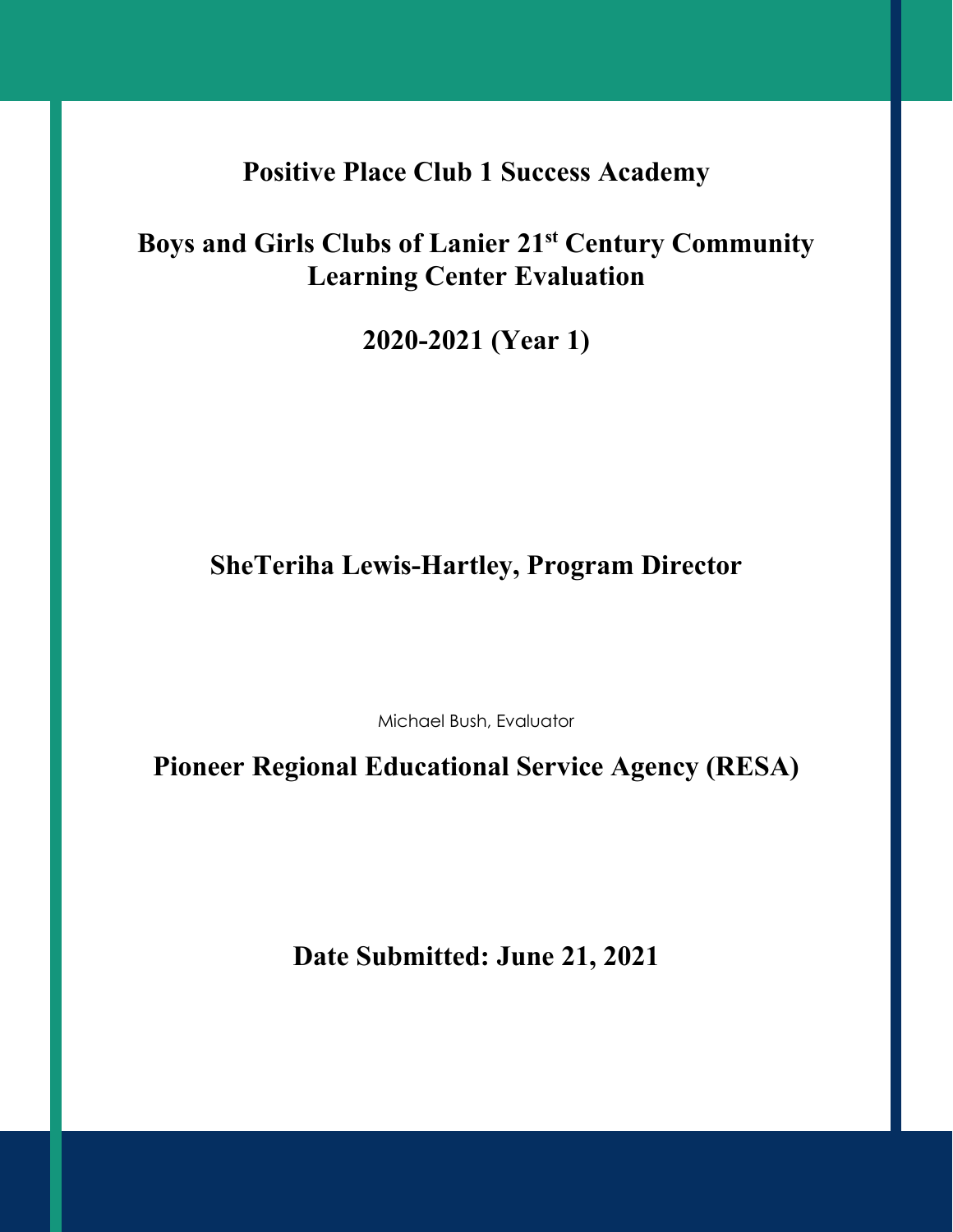# **Positive Place Club 1 Success Academy**

# **Boys and Girls Clubs of Lanier 21st Century Community Learning Center Evaluation**

**2020-2021 (Year 1)**

# **SheTeriha Lewis-Hartley, Program Director**

Michael Bush, Evaluator

**Pioneer Regional Educational Service Agency (RESA)**

**Date Submitted: June 21, 2021**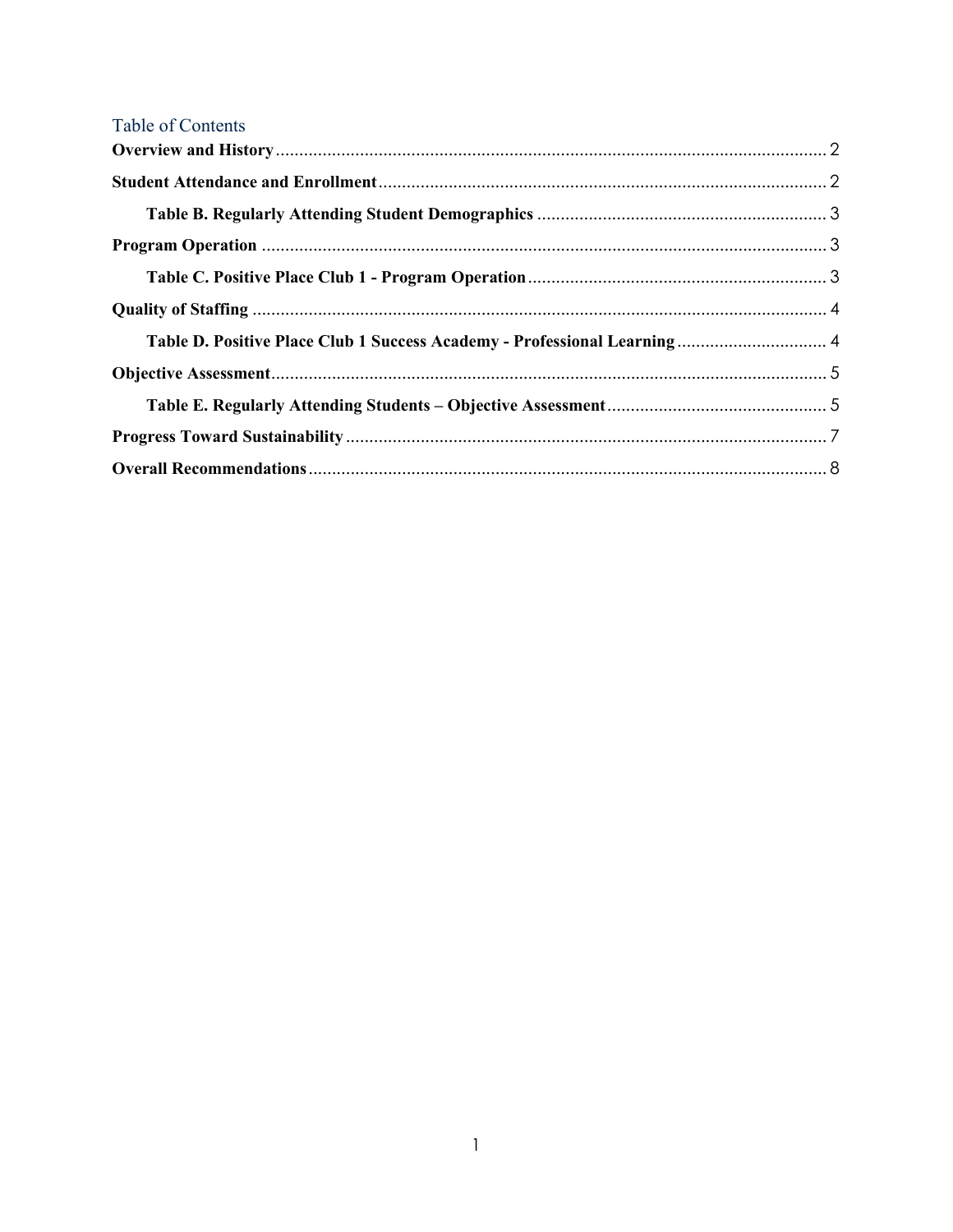| Table of Contents                                                         |  |
|---------------------------------------------------------------------------|--|
|                                                                           |  |
|                                                                           |  |
|                                                                           |  |
|                                                                           |  |
|                                                                           |  |
|                                                                           |  |
| Table D. Positive Place Club 1 Success Academy - Professional Learning  4 |  |
|                                                                           |  |
|                                                                           |  |
|                                                                           |  |
|                                                                           |  |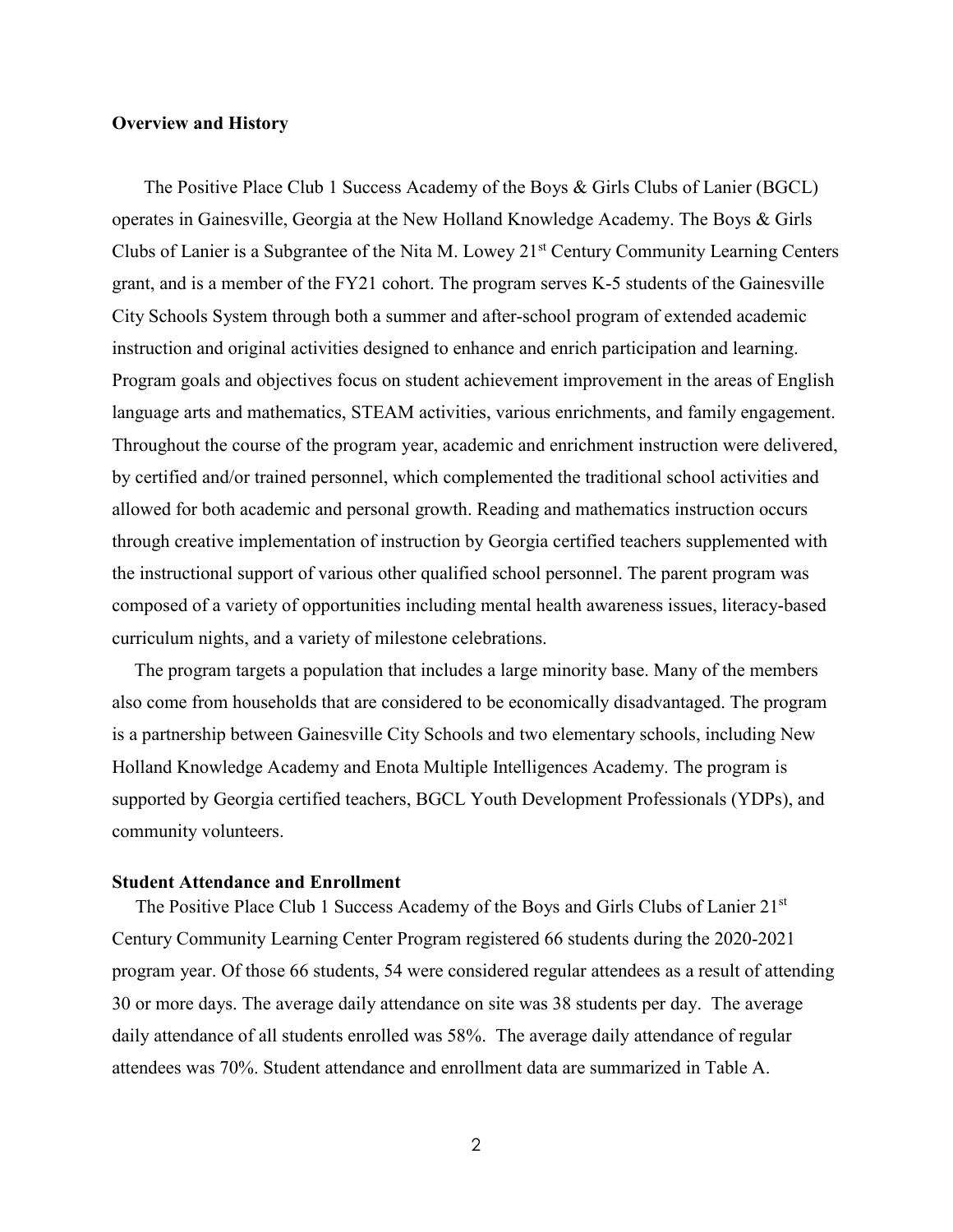### <span id="page-4-0"></span>**Overview and History**

 The Positive Place Club 1 Success Academy of the Boys & Girls Clubs of Lanier (BGCL) operates in Gainesville, Georgia at the New Holland Knowledge Academy. The Boys & Girls Clubs of Lanier is a Subgrantee of the Nita M. Lowey 21<sup>st</sup> Century Community Learning Centers grant, and is a member of the FY21 cohort. The program serves K-5 students of the Gainesville City Schools System through both a summer and after-school program of extended academic instruction and original activities designed to enhance and enrich participation and learning. Program goals and objectives focus on student achievement improvement in the areas of English language arts and mathematics, STEAM activities, various enrichments, and family engagement. Throughout the course of the program year, academic and enrichment instruction were delivered, by certified and/or trained personnel, which complemented the traditional school activities and allowed for both academic and personal growth. Reading and mathematics instruction occurs through creative implementation of instruction by Georgia certified teachers supplemented with the instructional support of various other qualified school personnel. The parent program was composed of a variety of opportunities including mental health awareness issues, literacy-based curriculum nights, and a variety of milestone celebrations.

The program targets a population that includes a large minority base. Many of the members also come from households that are considered to be economically disadvantaged. The program is a partnership between Gainesville City Schools and two elementary schools, including New Holland Knowledge Academy and Enota Multiple Intelligences Academy. The program is supported by Georgia certified teachers, BGCL Youth Development Professionals (YDPs), and community volunteers.

#### <span id="page-4-1"></span>**Student Attendance and Enrollment**

The Positive Place Club 1 Success Academy of the Boys and Girls Clubs of Lanier 21<sup>st</sup> Century Community Learning Center Program registered 66 students during the 2020-2021 program year. Of those 66 students, 54 were considered regular attendees as a result of attending 30 or more days. The average daily attendance on site was 38 students per day. The average daily attendance of all students enrolled was 58%. The average daily attendance of regular attendees was 70%. Student attendance and enrollment data are summarized in Table A.

2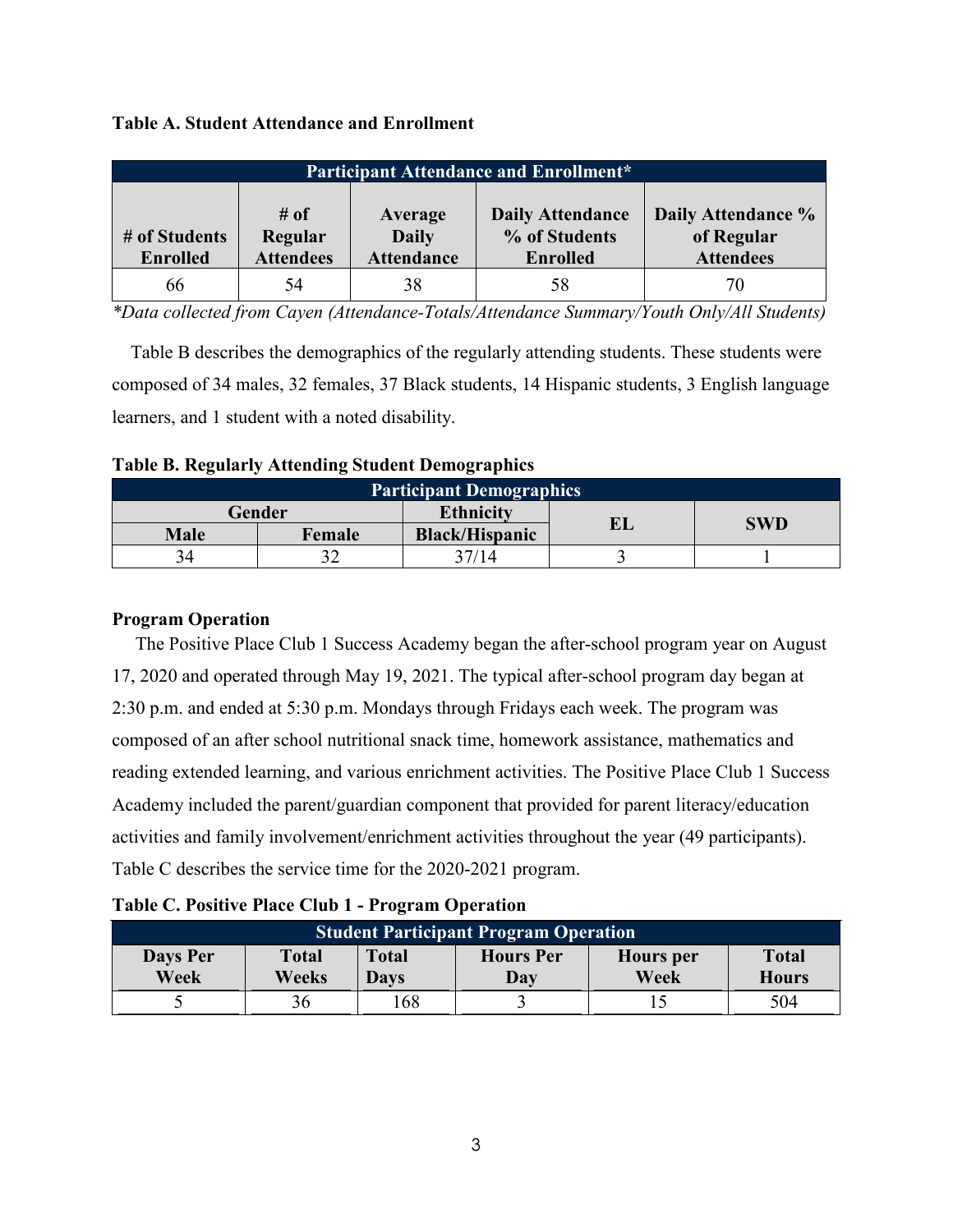## **Table A. Student Attendance and Enrollment**

| <b>Participant Attendance and Enrollment*</b> |                                        |                                              |                                                             |                                                      |  |  |
|-----------------------------------------------|----------------------------------------|----------------------------------------------|-------------------------------------------------------------|------------------------------------------------------|--|--|
| # of Students<br><b>Enrolled</b>              | $\#$ of<br>Regular<br><b>Attendees</b> | Average<br><b>Daily</b><br><b>Attendance</b> | <b>Daily Attendance</b><br>% of Students<br><b>Enrolled</b> | Daily Attendance %<br>of Regular<br><b>Attendees</b> |  |  |
| 66                                            | 54                                     | 38                                           | 58                                                          | 70                                                   |  |  |

*\*Data collected from Cayen (Attendance-Totals/Attendance Summary/Youth Only/All Students)*

 Table B describes the demographics of the regularly attending students. These students were composed of 34 males, 32 females, 37 Black students, 14 Hispanic students, 3 English language learners, and 1 student with a noted disability.

<span id="page-5-0"></span>

|  |  | <b>Table B. Regularly Attending Student Demographics</b> |
|--|--|----------------------------------------------------------|
|  |  |                                                          |

| <b>Participant Demographics</b> |        |                       |    |            |  |  |  |
|---------------------------------|--------|-----------------------|----|------------|--|--|--|
|                                 | Gender | <b>Ethnicity</b>      | EL | <b>SWD</b> |  |  |  |
| <b>Male</b>                     | Female | <b>Black/Hispanic</b> |    |            |  |  |  |
|                                 |        | 27/14                 |    |            |  |  |  |

## <span id="page-5-1"></span>**Program Operation**

 The Positive Place Club 1 Success Academy began the after-school program year on August 17, 2020 and operated through May 19, 2021. The typical after-school program day began at 2:30 p.m. and ended at 5:30 p.m. Mondays through Fridays each week. The program was composed of an after school nutritional snack time, homework assistance, mathematics and reading extended learning, and various enrichment activities. The Positive Place Club 1 Success Academy included the parent/guardian component that provided for parent literacy/education activities and family involvement/enrichment activities throughout the year (49 participants). Table C describes the service time for the 2020-2021 program.

## <span id="page-5-2"></span>**Table C. Positive Place Club 1 - Program Operation**

| <b>Student Participant Program Operation</b> |                |                             |                         |                   |                              |  |  |
|----------------------------------------------|----------------|-----------------------------|-------------------------|-------------------|------------------------------|--|--|
| Days Per<br>Week                             | Total<br>Weeks | <b>Total</b><br><b>Davs</b> | <b>Hours</b> Per<br>Day | Hours per<br>Week | <b>Total</b><br><b>Hours</b> |  |  |
|                                              |                | .68                         |                         |                   | 504                          |  |  |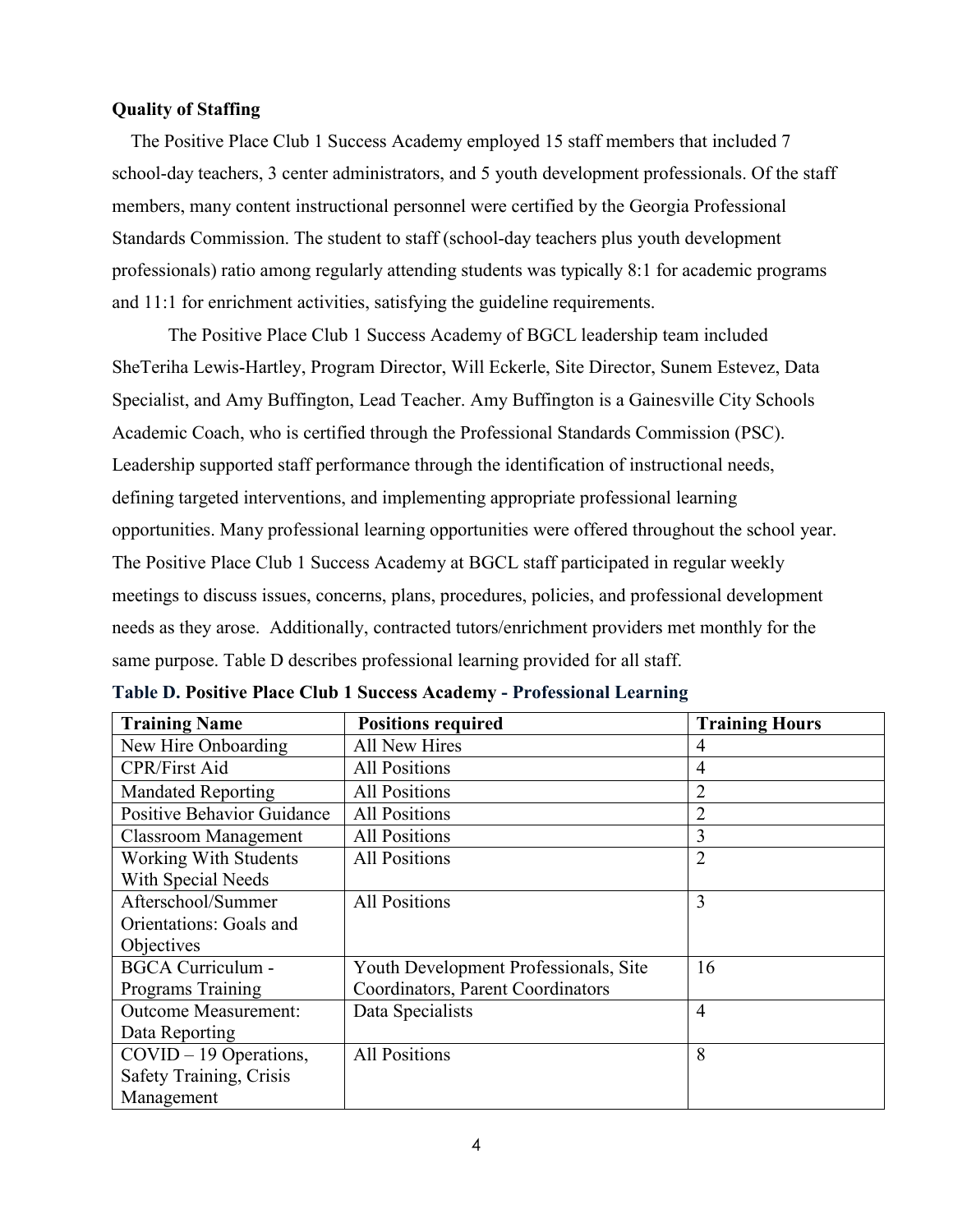### <span id="page-6-0"></span>**Quality of Staffing**

 The Positive Place Club 1 Success Academy employed 15 staff members that included 7 school-day teachers, 3 center administrators, and 5 youth development professionals. Of the staff members, many content instructional personnel were certified by the Georgia Professional Standards Commission. The student to staff (school-day teachers plus youth development professionals) ratio among regularly attending students was typically 8:1 for academic programs and 11:1 for enrichment activities, satisfying the guideline requirements.

The Positive Place Club 1 Success Academy of BGCL leadership team included SheTeriha Lewis-Hartley, Program Director, Will Eckerle, Site Director, Sunem Estevez, Data Specialist, and Amy Buffington, Lead Teacher. Amy Buffington is a Gainesville City Schools Academic Coach, who is certified through the Professional Standards Commission (PSC). Leadership supported staff performance through the identification of instructional needs, defining targeted interventions, and implementing appropriate professional learning opportunities. Many professional learning opportunities were offered throughout the school year. The Positive Place Club 1 Success Academy at BGCL staff participated in regular weekly meetings to discuss issues, concerns, plans, procedures, policies, and professional development needs as they arose. Additionally, contracted tutors/enrichment providers met monthly for the same purpose. Table D describes professional learning provided for all staff.

| <b>Training Name</b>              | <b>Positions required</b>             | <b>Training Hours</b> |
|-----------------------------------|---------------------------------------|-----------------------|
| New Hire Onboarding               | <b>All New Hires</b>                  | 4                     |
| <b>CPR/First Aid</b>              | <b>All Positions</b>                  | 4                     |
| <b>Mandated Reporting</b>         | <b>All Positions</b>                  | $\overline{2}$        |
| <b>Positive Behavior Guidance</b> | <b>All Positions</b>                  | $\overline{2}$        |
| <b>Classroom Management</b>       | <b>All Positions</b>                  | 3                     |
| <b>Working With Students</b>      | <b>All Positions</b>                  | $\overline{2}$        |
| With Special Needs                |                                       |                       |
| Afterschool/Summer                | <b>All Positions</b>                  | 3                     |
| Orientations: Goals and           |                                       |                       |
| Objectives                        |                                       |                       |
| <b>BGCA Curriculum -</b>          | Youth Development Professionals, Site | 16                    |
| Programs Training                 | Coordinators, Parent Coordinators     |                       |
| <b>Outcome Measurement:</b>       | Data Specialists                      | $\overline{4}$        |
| Data Reporting                    |                                       |                       |
| $COVID - 19$ Operations,          | <b>All Positions</b>                  | 8                     |
| Safety Training, Crisis           |                                       |                       |
| Management                        |                                       |                       |

<span id="page-6-1"></span>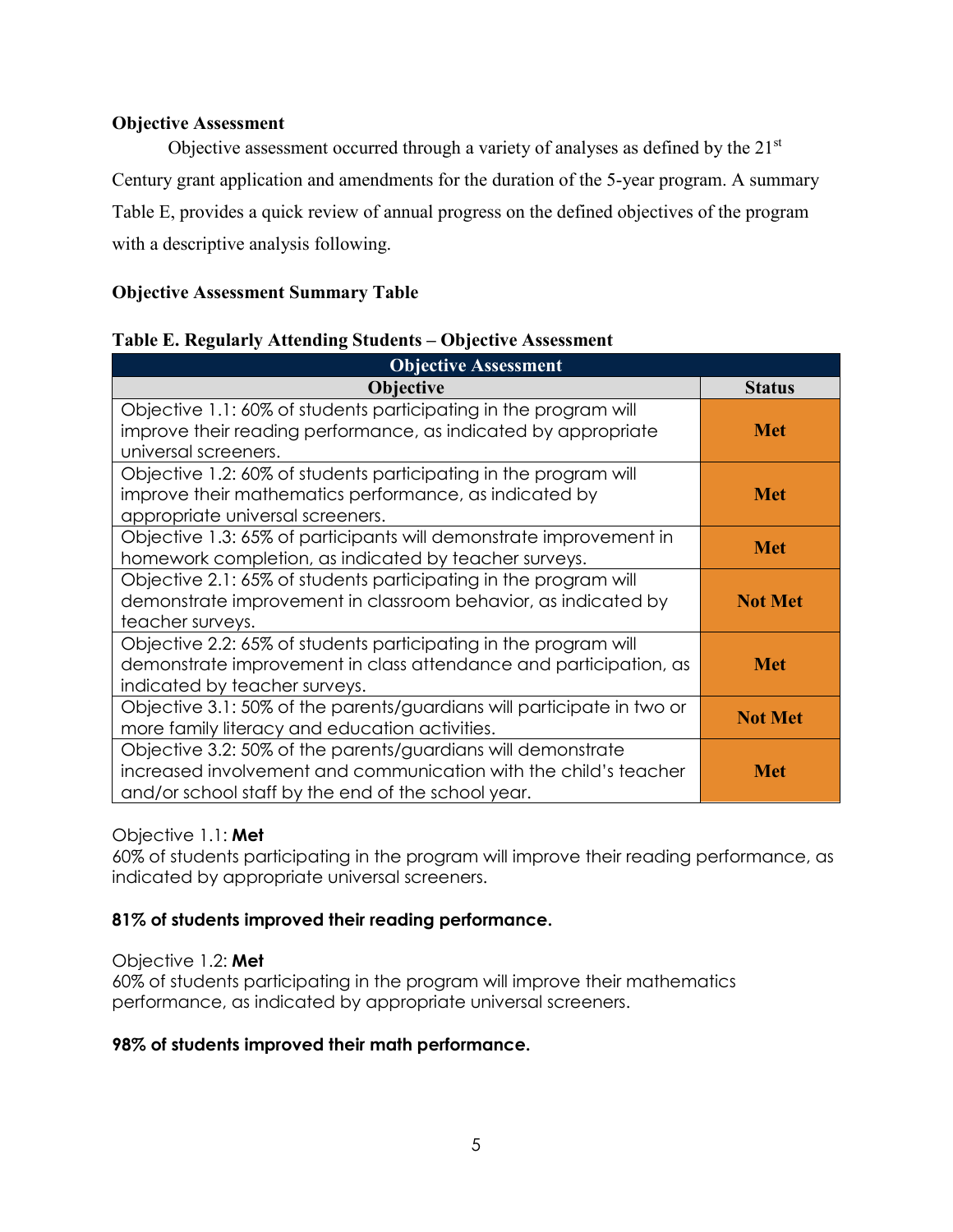## <span id="page-7-0"></span>**Objective Assessment**

Objective assessment occurred through a variety of analyses as defined by the 21<sup>st</sup> Century grant application and amendments for the duration of the 5-year program. A summary Table E, provides a quick review of annual progress on the defined objectives of the program with a descriptive analysis following.

# **Objective Assessment Summary Table**

## <span id="page-7-1"></span>**Table E. Regularly Attending Students – Objective Assessment**

| <b>Objective Assessment</b>                                                                                                                                                            |                |
|----------------------------------------------------------------------------------------------------------------------------------------------------------------------------------------|----------------|
| <b>Objective</b>                                                                                                                                                                       | <b>Status</b>  |
| Objective 1.1: 60% of students participating in the program will<br>improve their reading performance, as indicated by appropriate                                                     | <b>Met</b>     |
| universal screeners.                                                                                                                                                                   |                |
| Objective 1.2: 60% of students participating in the program will<br>improve their mathematics performance, as indicated by<br>appropriate universal screeners.                         | Met            |
| Objective 1.3: 65% of participants will demonstrate improvement in<br>homework completion, as indicated by teacher surveys.                                                            | <b>Met</b>     |
| Objective 2.1: 65% of students participating in the program will<br>demonstrate improvement in classroom behavior, as indicated by<br>teacher surveys.                                 | <b>Not Met</b> |
| Objective 2.2: 65% of students participating in the program will<br>demonstrate improvement in class attendance and participation, as<br>indicated by teacher surveys.                 | Met            |
| Objective 3.1: 50% of the parents/guardians will participate in two or<br>more family literacy and education activities.                                                               | <b>Not Met</b> |
| Objective 3.2: 50% of the parents/guardians will demonstrate<br>increased involvement and communication with the child's teacher<br>and/or school staff by the end of the school year. | Met            |

# Objective 1.1: **Met**

60% of students participating in the program will improve their reading performance, as indicated by appropriate universal screeners.

# **81% of students improved their reading performance.**

## Objective 1.2: **Met**

60% of students participating in the program will improve their mathematics performance, as indicated by appropriate universal screeners.

## **98% of students improved their math performance.**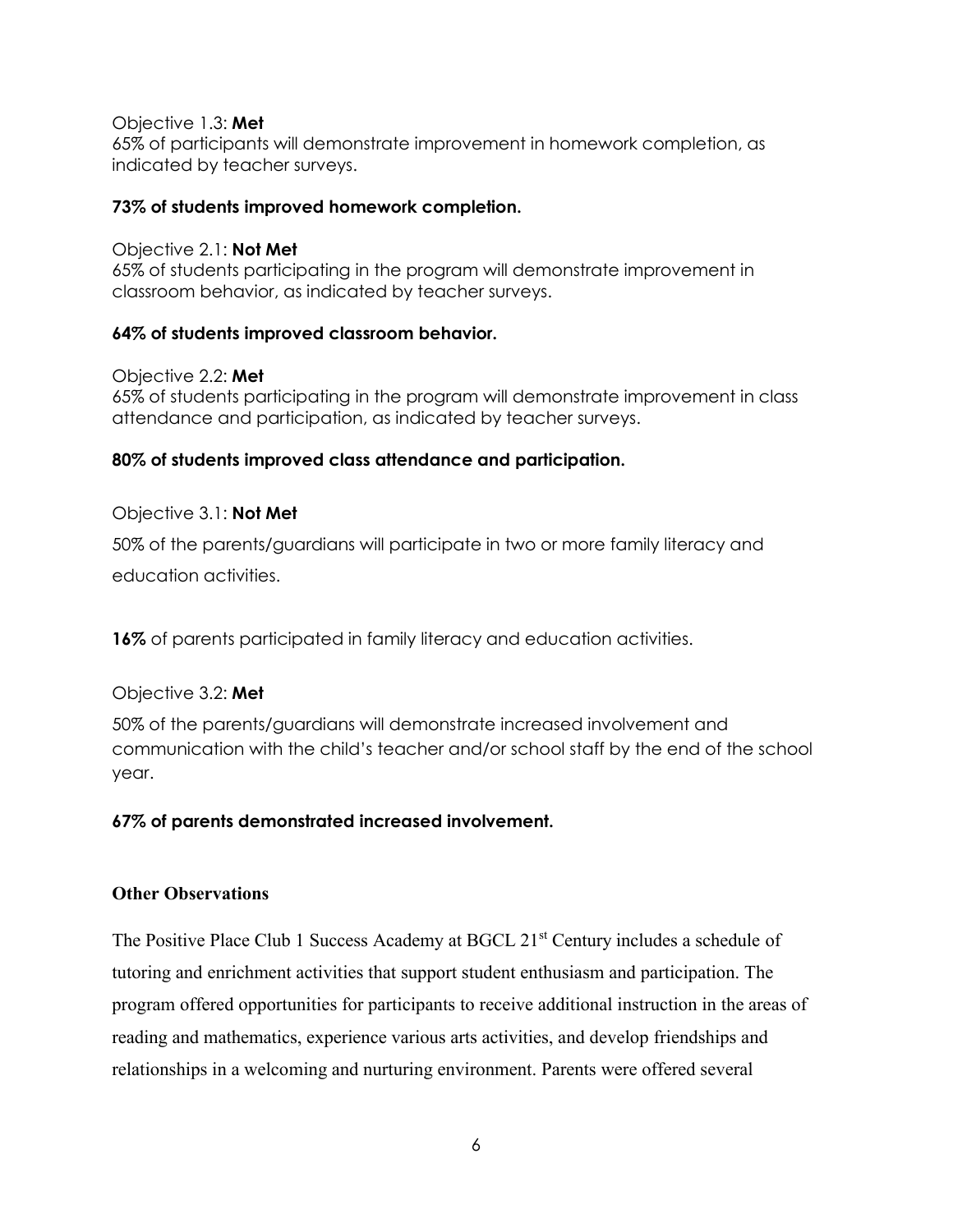Objective 1.3: **Met**

65% of participants will demonstrate improvement in homework completion, as indicated by teacher surveys.

## **73% of students improved homework completion.**

### Objective 2.1: **Not Met** 65% of students participating in the program will demonstrate improvement in classroom behavior, as indicated by teacher surveys.

# **64% of students improved classroom behavior.**

Objective 2.2: **Met**

65% of students participating in the program will demonstrate improvement in class attendance and participation, as indicated by teacher surveys.

# **80% of students improved class attendance and participation.**

# Objective 3.1: **Not Met**

50% of the parents/guardians will participate in two or more family literacy and education activities.

**16%** of parents participated in family literacy and education activities.

# Objective 3.2: **Met**

50% of the parents/guardians will demonstrate increased involvement and communication with the child's teacher and/or school staff by the end of the school year.

# **67% of parents demonstrated increased involvement.**

# **Other Observations**

The Positive Place Club 1 Success Academy at BGCL 21<sup>st</sup> Century includes a schedule of tutoring and enrichment activities that support student enthusiasm and participation. The program offered opportunities for participants to receive additional instruction in the areas of reading and mathematics, experience various arts activities, and develop friendships and relationships in a welcoming and nurturing environment. Parents were offered several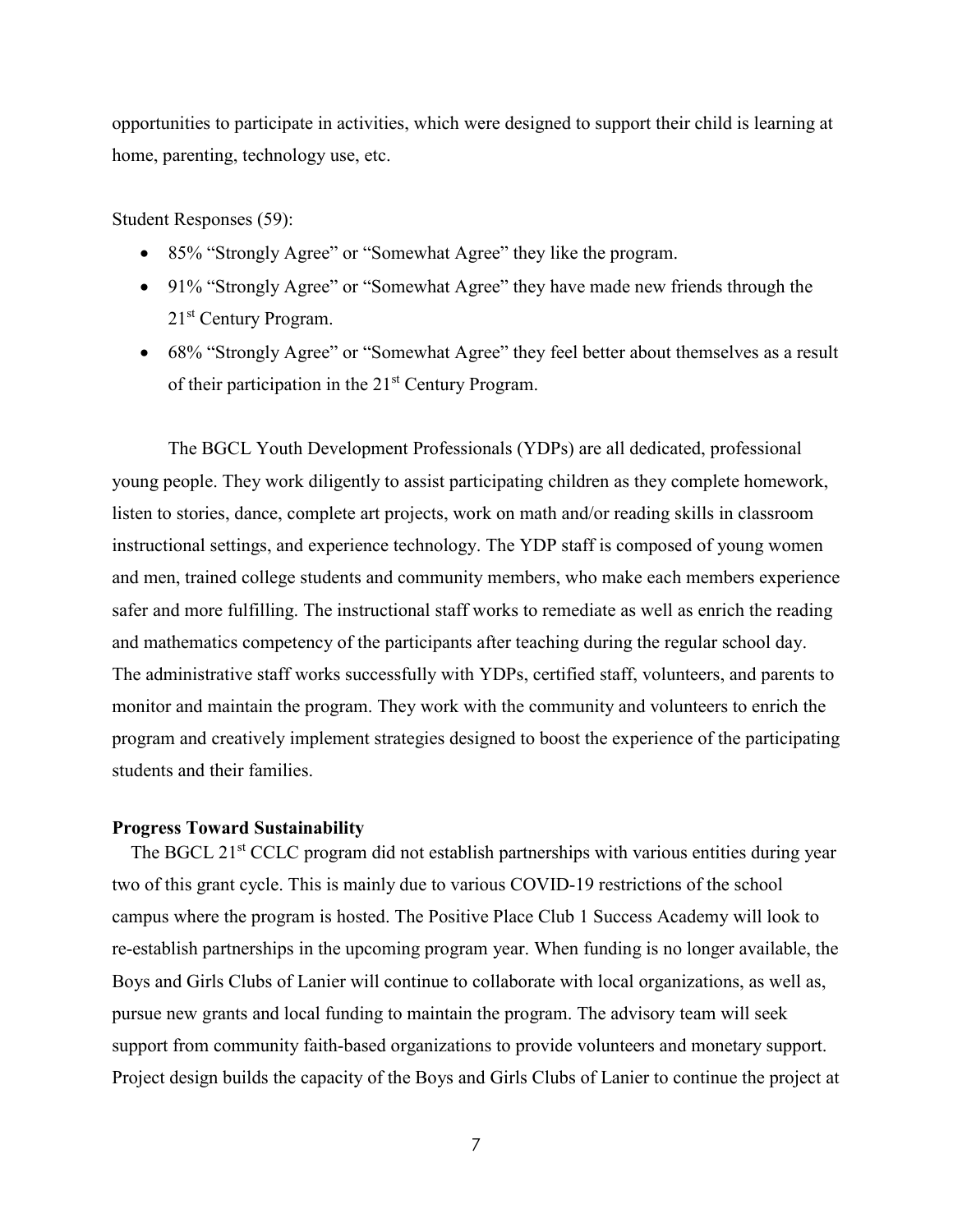opportunities to participate in activities, which were designed to support their child is learning at home, parenting, technology use, etc.

Student Responses (59):

- 85% "Strongly Agree" or "Somewhat Agree" they like the program.
- 91% "Strongly Agree" or "Somewhat Agree" they have made new friends through the 21st Century Program.
- 68% "Strongly Agree" or "Somewhat Agree" they feel better about themselves as a result of their participation in the 21<sup>st</sup> Century Program.

The BGCL Youth Development Professionals (YDPs) are all dedicated, professional young people. They work diligently to assist participating children as they complete homework, listen to stories, dance, complete art projects, work on math and/or reading skills in classroom instructional settings, and experience technology. The YDP staff is composed of young women and men, trained college students and community members, who make each members experience safer and more fulfilling. The instructional staff works to remediate as well as enrich the reading and mathematics competency of the participants after teaching during the regular school day. The administrative staff works successfully with YDPs, certified staff, volunteers, and parents to monitor and maintain the program. They work with the community and volunteers to enrich the program and creatively implement strategies designed to boost the experience of the participating students and their families.

#### <span id="page-9-0"></span>**Progress Toward Sustainability**

The BGCL 21<sup>st</sup> CCLC program did not establish partnerships with various entities during year two of this grant cycle. This is mainly due to various COVID-19 restrictions of the school campus where the program is hosted. The Positive Place Club 1 Success Academy will look to re-establish partnerships in the upcoming program year. When funding is no longer available, the Boys and Girls Clubs of Lanier will continue to collaborate with local organizations, as well as, pursue new grants and local funding to maintain the program. The advisory team will seek support from community faith-based organizations to provide volunteers and monetary support. Project design builds the capacity of the Boys and Girls Clubs of Lanier to continue the project at

7